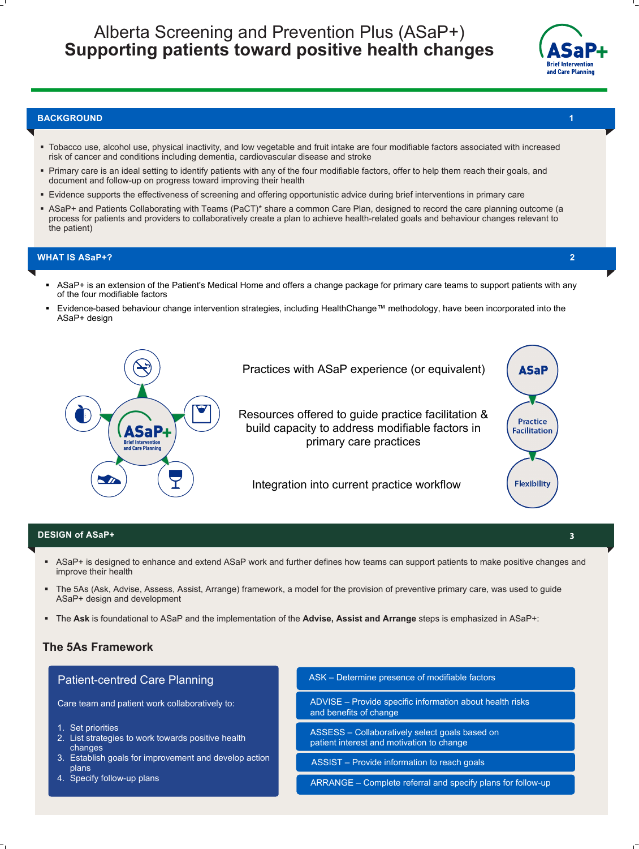- Tobacco use, alcohol use, physical inactivity, and low vegetable and fruit intake are four modifiable factors associated with increased risk of cancer and conditions including dementia, cardiovascular disease and stroke
- **Primary care is an ideal setting to identify patients with any of the four modifiable factors, offer to help them reach their goals, and** document and follow-up on progress toward improving their health
- Evidence supports the effectiveness of screening and offering opportunistic advice during brief interventions in primary care
- ASaP+ and Patients Collaborating with Teams (PaCT)\* share a common Care Plan, designed to record the care planning outcome (a process for patients and providers to collaboratively create a plan to achieve health-related goals and behaviour changes relevant to

- 1. Set priorities
- 2. List strategies to work towards positive health changes
- 3. Establish goals for improvement and develop action plans
- 

the patient)

#### **BACKGROUND**

# Alberta Screening and Prevention Plus (ASaP+) **Supporting patients toward positive health changes**



Practices with ASaP experience (or equivalent)

Integration into current practice workflow

Resources offered to guide practice facilitation & build capacity to address modifiable factors in



primary care practices

# **The 5As Framework**

# Patient-centred Care Planning

Care team and patient work collaboratively to:

ASSIST – Provide information to reach goals

4. Specify follow-up plans and the state of the ARRANGE – Complete referral and specify plans for follow-up

ADVISE – Provide specific information about health risks and benefits of change

ASSESS – Collaboratively select goals based on patient interest and motivation to change

#### ASK – Determine presence of modifiable factors

- 
- ASaP+ is designed to enhance and extend ASaP work and further defines how teams can support patients to make positive changes and improve their health
- The 5As (Ask, Advise, Assess, Assist, Arrange) framework, a model for the provision of preventive primary care, was used to guide ASaP+ design and development
- The **Ask** is foundational to ASaP and the implementation of the **Advise, Assist and Arrange** steps is emphasized in ASaP+:

# **DESIGN of ASaP+ 3**

## **WHAT IS ASaP+?**

- ASaP+ is an extension of the Patient's Medical Home and offers a change package for primary care teams to support patients with any of the four modifiable factors
- Evidence-based behaviour change intervention strategies, including HealthChange™ methodology, have been incorporated into the ASaP+ design



**1**